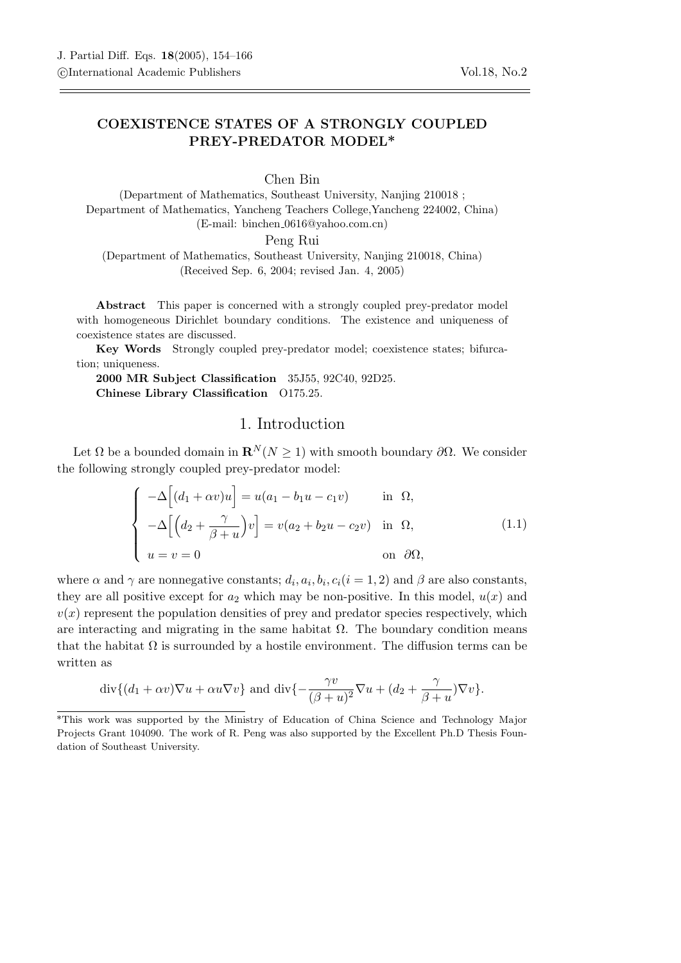## COEXISTENCE STATES OF A STRONGLY COUPLED PREY-PREDATOR MODEL\*

Chen Bin

(Department of Mathematics, Southeast University, Nanjing 210018 ; Department of Mathematics, Yancheng Teachers College,Yancheng 224002, China) (E-mail: binchen 0616@yahoo.com.cn)

Peng Rui

(Department of Mathematics, Southeast University, Nanjing 210018, China) (Received Sep. 6, 2004; revised Jan. 4, 2005)

Abstract This paper is concerned with a strongly coupled prey-predator model with homogeneous Dirichlet boundary conditions. The existence and uniqueness of coexistence states are discussed.

Key Words Strongly coupled prey-predator model; coexistence states; bifurcation; uniqueness.

2000 MR Subject Classification 35J55, 92C40, 92D25. Chinese Library Classification O175.25.

## 1. Introduction

Let  $\Omega$  be a bounded domain in  $\mathbf{R}^{N}(N \geq 1)$  with smooth boundary  $\partial\Omega$ . We consider the following strongly coupled prey-predator model:

$$
\begin{cases}\n-\Delta \left[ (d_1 + \alpha v)u \right] = u(a_1 - b_1 u - c_1 v) & \text{in } \Omega, \\
-\Delta \left[ \left( d_2 + \frac{\gamma}{\beta + u} \right) v \right] = v(a_2 + b_2 u - c_2 v) & \text{in } \Omega, \\
u = v = 0 & \text{on } \partial \Omega,\n\end{cases}
$$
\n(1.1)

where  $\alpha$  and  $\gamma$  are nonnegative constants;  $d_i, a_i, b_i, c_i (i = 1, 2)$  and  $\beta$  are also constants, they are all positive except for  $a_2$  which may be non-positive. In this model,  $u(x)$  and  $v(x)$  represent the population densities of prey and predator species respectively, which are interacting and migrating in the same habitat  $\Omega$ . The boundary condition means that the habitat  $\Omega$  is surrounded by a hostile environment. The diffusion terms can be written as

$$
\operatorname{div}\{(d_1+\alpha v)\nabla u+\alpha u\nabla v\}\text{ and }\operatorname{div}\{-\frac{\gamma v}{(\beta+u)^2}\nabla u+(d_2+\frac{\gamma}{\beta+u})\nabla v\}.
$$

<sup>\*</sup>This work was supported by the Ministry of Education of China Science and Technology Major Projects Grant 104090. The work of R. Peng was also supported by the Excellent Ph.D Thesis Foundation of Southeast University.